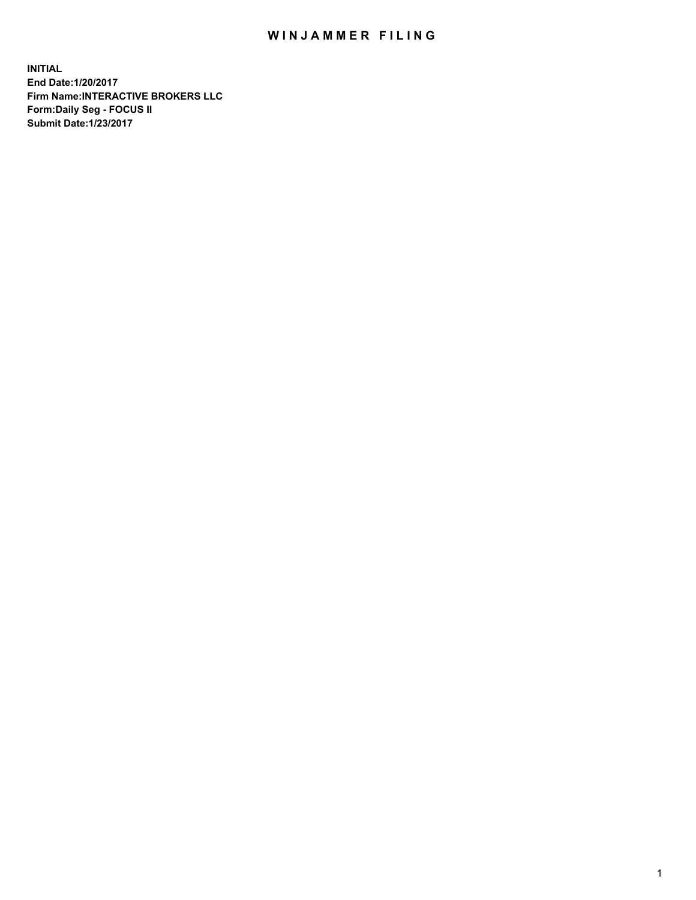## WIN JAMMER FILING

**INITIAL End Date:1/20/2017 Firm Name:INTERACTIVE BROKERS LLC Form:Daily Seg - FOCUS II Submit Date:1/23/2017**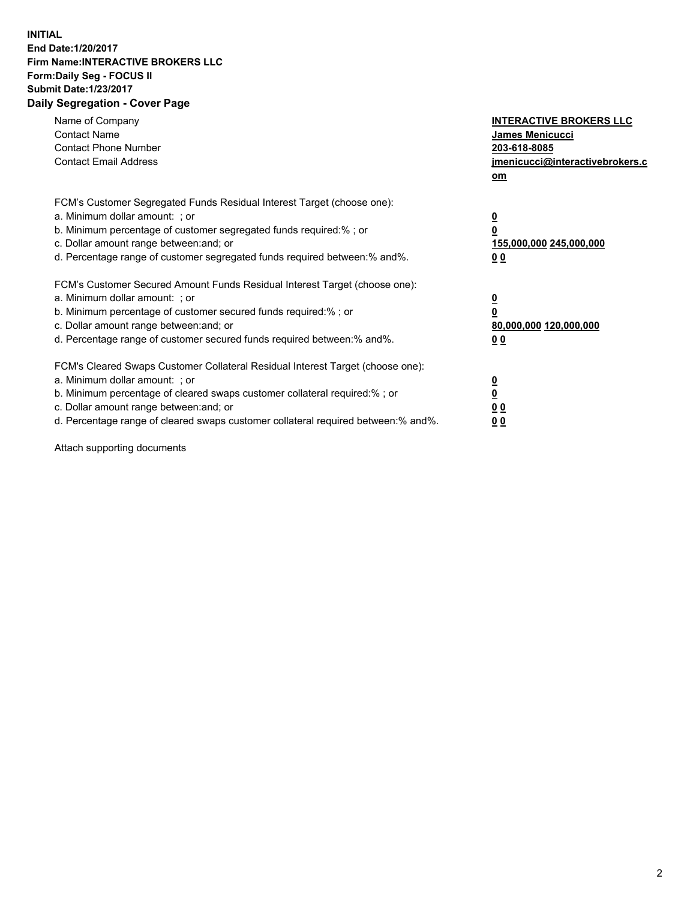## **INITIAL End Date:1/20/2017 Firm Name:INTERACTIVE BROKERS LLC Form:Daily Seg - FOCUS II Submit Date:1/23/2017 Daily Segregation - Cover Page**

| Name of Company<br><b>Contact Name</b><br><b>Contact Phone Number</b><br><b>Contact Email Address</b>                                                                                                                                                                                                                          | <b>INTERACTIVE BROKERS LLC</b><br><b>James Menicucci</b><br>203-618-8085<br>jmenicucci@interactivebrokers.c<br>om |
|--------------------------------------------------------------------------------------------------------------------------------------------------------------------------------------------------------------------------------------------------------------------------------------------------------------------------------|-------------------------------------------------------------------------------------------------------------------|
| FCM's Customer Segregated Funds Residual Interest Target (choose one):<br>a. Minimum dollar amount: ; or<br>b. Minimum percentage of customer segregated funds required:%; or<br>c. Dollar amount range between: and; or<br>d. Percentage range of customer segregated funds required between:% and%.                          | $\overline{\mathbf{0}}$<br>0<br>155,000,000 245,000,000<br>0 <sub>0</sub>                                         |
| FCM's Customer Secured Amount Funds Residual Interest Target (choose one):<br>a. Minimum dollar amount: ; or<br>b. Minimum percentage of customer secured funds required:%; or<br>c. Dollar amount range between: and; or<br>d. Percentage range of customer secured funds required between: % and %.                          | $\overline{\mathbf{0}}$<br>0<br>80,000,000 120,000,000<br>0 <sub>0</sub>                                          |
| FCM's Cleared Swaps Customer Collateral Residual Interest Target (choose one):<br>a. Minimum dollar amount: ; or<br>b. Minimum percentage of cleared swaps customer collateral required:% ; or<br>c. Dollar amount range between: and; or<br>d. Percentage range of cleared swaps customer collateral required between:% and%. | $\overline{\mathbf{0}}$<br>$\overline{\mathbf{0}}$<br>0 <sub>0</sub><br><u>00</u>                                 |

Attach supporting documents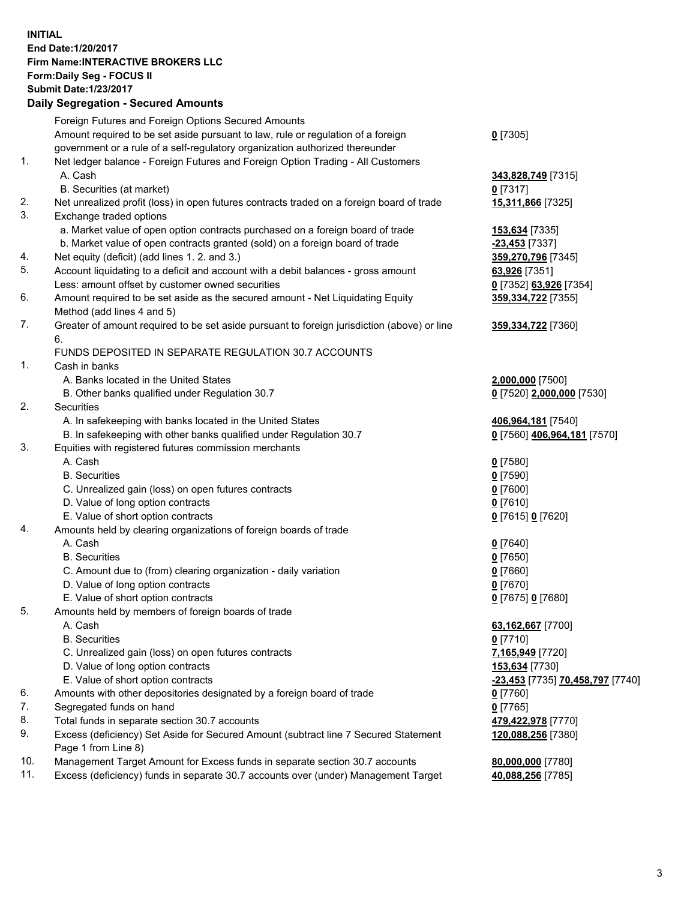## **INITIAL End Date:1/20/2017 Firm Name:INTERACTIVE BROKERS LLC Form:Daily Seg - FOCUS II Submit Date:1/23/2017**

|     | <b>Daily Segregation - Secured Amounts</b>                                                  |                                           |
|-----|---------------------------------------------------------------------------------------------|-------------------------------------------|
|     | Foreign Futures and Foreign Options Secured Amounts                                         |                                           |
|     | Amount required to be set aside pursuant to law, rule or regulation of a foreign            | $0$ [7305]                                |
|     | government or a rule of a self-regulatory organization authorized thereunder                |                                           |
| 1.  | Net ledger balance - Foreign Futures and Foreign Option Trading - All Customers             |                                           |
|     | A. Cash                                                                                     | 343,828,749 [7315]                        |
|     | B. Securities (at market)                                                                   | $0$ [7317]                                |
| 2.  | Net unrealized profit (loss) in open futures contracts traded on a foreign board of trade   | 15,311,866 [7325]                         |
| 3.  | Exchange traded options                                                                     |                                           |
|     | a. Market value of open option contracts purchased on a foreign board of trade              | 153,634 [7335]                            |
|     | b. Market value of open contracts granted (sold) on a foreign board of trade                | <b>-23,453</b> [7337]                     |
| 4.  | Net equity (deficit) (add lines 1. 2. and 3.)                                               | 359,270,796 [7345]                        |
| 5.  | Account liquidating to a deficit and account with a debit balances - gross amount           | 63,926 [7351]                             |
|     | Less: amount offset by customer owned securities                                            | 0 [7352] 63,926 [7354]                    |
| 6.  | Amount required to be set aside as the secured amount - Net Liquidating Equity              | 359,334,722 [7355]                        |
|     | Method (add lines 4 and 5)                                                                  |                                           |
| 7.  | Greater of amount required to be set aside pursuant to foreign jurisdiction (above) or line | 359,334,722 [7360]                        |
|     | 6.                                                                                          |                                           |
|     | FUNDS DEPOSITED IN SEPARATE REGULATION 30.7 ACCOUNTS                                        |                                           |
| 1.  | Cash in banks                                                                               |                                           |
|     | A. Banks located in the United States                                                       | 2,000,000 [7500]                          |
|     | B. Other banks qualified under Regulation 30.7                                              | 0 [7520] 2,000,000 [7530]                 |
| 2.  | Securities                                                                                  |                                           |
|     | A. In safekeeping with banks located in the United States                                   | 406,964,181 [7540]                        |
|     | B. In safekeeping with other banks qualified under Regulation 30.7                          | <u>0</u> [7560] <u>406,964,181</u> [7570] |
| 3.  | Equities with registered futures commission merchants                                       |                                           |
|     | A. Cash                                                                                     | $0$ [7580]                                |
|     | <b>B.</b> Securities                                                                        | $0$ [7590]                                |
|     | C. Unrealized gain (loss) on open futures contracts                                         | $0$ [7600]                                |
|     | D. Value of long option contracts                                                           | $0$ [7610]                                |
|     | E. Value of short option contracts                                                          | 0 [7615] 0 [7620]                         |
| 4.  | Amounts held by clearing organizations of foreign boards of trade                           |                                           |
|     | A. Cash                                                                                     | $0$ [7640]                                |
|     | <b>B.</b> Securities                                                                        | $0$ [7650]                                |
|     | C. Amount due to (from) clearing organization - daily variation                             | $0$ [7660]                                |
|     | D. Value of long option contracts                                                           | $0$ [7670]                                |
| 5.  | E. Value of short option contracts<br>Amounts held by members of foreign boards of trade    | 0 [7675] 0 [7680]                         |
|     | A. Cash                                                                                     | 63,162,667 [7700]                         |
|     | <b>B.</b> Securities                                                                        | $0$ [7710]                                |
|     | C. Unrealized gain (loss) on open futures contracts                                         | 7,165,949 [7720]                          |
|     | D. Value of long option contracts                                                           | 153,634 [7730]                            |
|     | E. Value of short option contracts                                                          | -23,453 [7735] 70,458,797 [7740]          |
| 6.  | Amounts with other depositories designated by a foreign board of trade                      | $0$ [7760]                                |
| 7.  | Segregated funds on hand                                                                    | $0$ [7765]                                |
| 8.  | Total funds in separate section 30.7 accounts                                               | 479,422,978 [7770]                        |
| 9.  | Excess (deficiency) Set Aside for Secured Amount (subtract line 7 Secured Statement         | 120,088,256 [7380]                        |
|     | Page 1 from Line 8)                                                                         |                                           |
| 10. | Management Target Amount for Excess funds in separate section 30.7 accounts                 | 80,000,000 [7780]                         |
| 11. | Excess (deficiency) funds in separate 30.7 accounts over (under) Management Target          | 40,088,256 [7785]                         |
|     |                                                                                             |                                           |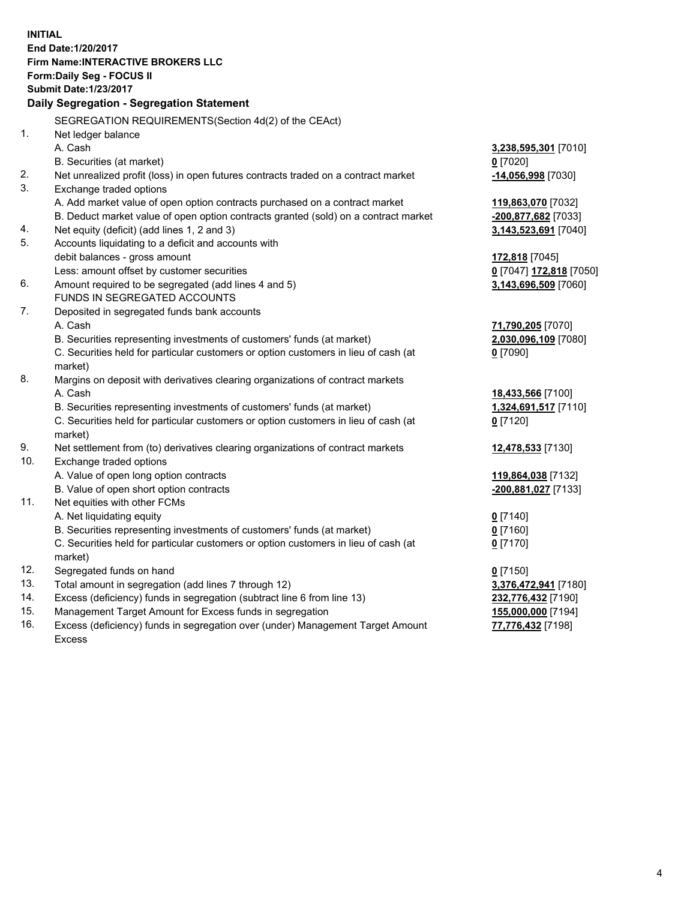**INITIAL End Date:1/20/2017 Firm Name:INTERACTIVE BROKERS LLC Form:Daily Seg - FOCUS II Submit Date:1/23/2017 Daily Segregation - Segregation Statement** SEGREGATION REQUIREMENTS(Section 4d(2) of the CEAct) 1. Net ledger balance A. Cash **3,238,595,301** [7010] B. Securities (at market) **0** [7020] 2. Net unrealized profit (loss) in open futures contracts traded on a contract market **-14,056,998** [7030] 3. Exchange traded options A. Add market value of open option contracts purchased on a contract market **119,863,070** [7032] B. Deduct market value of open option contracts granted (sold) on a contract market **-200,877,682** [7033] 4. Net equity (deficit) (add lines 1, 2 and 3) **3,143,523,691** [7040] 5. Accounts liquidating to a deficit and accounts with debit balances - gross amount **172,818** [7045] Less: amount offset by customer securities **0** [7047] **172,818** [7050] 6. Amount required to be segregated (add lines 4 and 5) **3,143,696,509** [7060] FUNDS IN SEGREGATED ACCOUNTS 7. Deposited in segregated funds bank accounts A. Cash **71,790,205** [7070] B. Securities representing investments of customers' funds (at market) **2,030,096,109** [7080] C. Securities held for particular customers or option customers in lieu of cash (at market) **0** [7090] 8. Margins on deposit with derivatives clearing organizations of contract markets A. Cash **18,433,566** [7100] B. Securities representing investments of customers' funds (at market) **1,324,691,517** [7110] C. Securities held for particular customers or option customers in lieu of cash (at market) **0** [7120] 9. Net settlement from (to) derivatives clearing organizations of contract markets **12,478,533** [7130] 10. Exchange traded options A. Value of open long option contracts **119,864,038** [7132] B. Value of open short option contracts **-200,881,027** [7133] 11. Net equities with other FCMs A. Net liquidating equity **0** [7140] B. Securities representing investments of customers' funds (at market) **0** [7160] C. Securities held for particular customers or option customers in lieu of cash (at market) **0** [7170] 12. Segregated funds on hand **0** [7150] 13. Total amount in segregation (add lines 7 through 12) **3,376,472,941** [7180] 14. Excess (deficiency) funds in segregation (subtract line 6 from line 13) **232,776,432** [7190] 15. Management Target Amount for Excess funds in segregation **155,000,000** [7194]

16. Excess (deficiency) funds in segregation over (under) Management Target Amount Excess

**77,776,432** [7198]